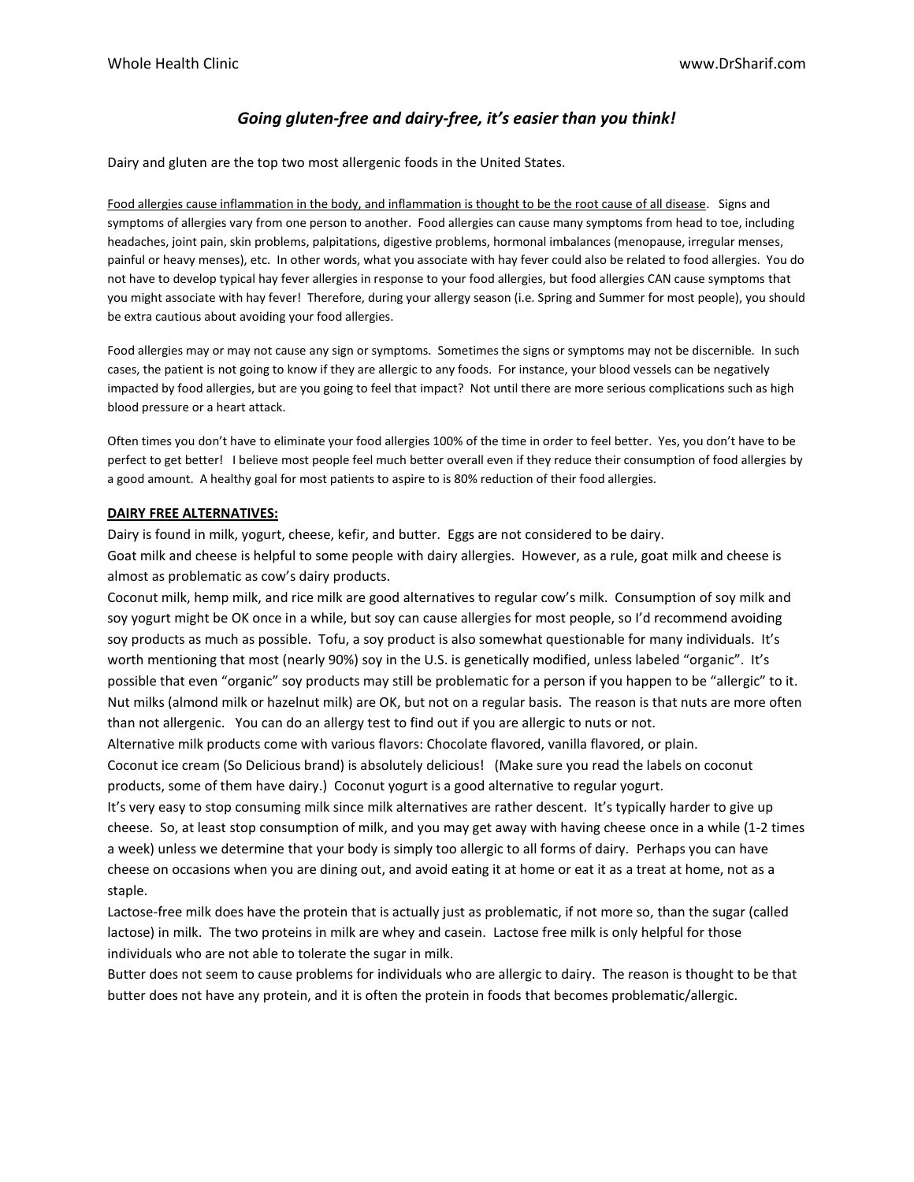## *Going gluten-free and dairy-free, it's easier than you think!*

Dairy and gluten are the top two most allergenic foods in the United States.

Food allergies cause inflammation in the body, and inflammation is thought to be the root cause of all disease. Signs and symptoms of allergies vary from one person to another. Food allergies can cause many symptoms from head to toe, including headaches, joint pain, skin problems, palpitations, digestive problems, hormonal imbalances (menopause, irregular menses, painful or heavy menses), etc. In other words, what you associate with hay fever could also be related to food allergies. You do not have to develop typical hay fever allergies in response to your food allergies, but food allergies CAN cause symptoms that you might associate with hay fever! Therefore, during your allergy season (i.e. Spring and Summer for most people), you should be extra cautious about avoiding your food allergies.

Food allergies may or may not cause any sign or symptoms. Sometimes the signs or symptoms may not be discernible. In such cases, the patient is not going to know if they are allergic to any foods. For instance, your blood vessels can be negatively impacted by food allergies, but are you going to feel that impact? Not until there are more serious complications such as high blood pressure or a heart attack.

Often times you don't have to eliminate your food allergies 100% of the time in order to feel better. Yes, you don't have to be perfect to get better! I believe most people feel much better overall even if they reduce their consumption of food allergies by a good amount. A healthy goal for most patients to aspire to is 80% reduction of their food allergies.

## **DAIRY FREE ALTERNATIVES:**

Dairy is found in milk, yogurt, cheese, kefir, and butter. Eggs are not considered to be dairy. Goat milk and cheese is helpful to some people with dairy allergies. However, as a rule, goat milk and cheese is almost as problematic as cow's dairy products.

Coconut milk, hemp milk, and rice milk are good alternatives to regular cow's milk. Consumption of soy milk and soy yogurt might be OK once in a while, but soy can cause allergies for most people, so I'd recommend avoiding soy products as much as possible. Tofu, a soy product is also somewhat questionable for many individuals. It's worth mentioning that most (nearly 90%) soy in the U.S. is genetically modified, unless labeled "organic". It's possible that even "organic" soy products may still be problematic for a person if you happen to be "allergic" to it. Nut milks (almond milk or hazelnut milk) are OK, but not on a regular basis. The reason is that nuts are more often than not allergenic. You can do an allergy test to find out if you are allergic to nuts or not.

Alternative milk products come with various flavors: Chocolate flavored, vanilla flavored, or plain.

Coconut ice cream (So Delicious brand) is absolutely delicious! (Make sure you read the labels on coconut products, some of them have dairy.) Coconut yogurt is a good alternative to regular yogurt.

It's very easy to stop consuming milk since milk alternatives are rather descent. It's typically harder to give up cheese. So, at least stop consumption of milk, and you may get away with having cheese once in a while (1-2 times a week) unless we determine that your body is simply too allergic to all forms of dairy. Perhaps you can have cheese on occasions when you are dining out, and avoid eating it at home or eat it as a treat at home, not as a staple.

Lactose-free milk does have the protein that is actually just as problematic, if not more so, than the sugar (called lactose) in milk. The two proteins in milk are whey and casein. Lactose free milk is only helpful for those individuals who are not able to tolerate the sugar in milk.

Butter does not seem to cause problems for individuals who are allergic to dairy. The reason is thought to be that butter does not have any protein, and it is often the protein in foods that becomes problematic/allergic.